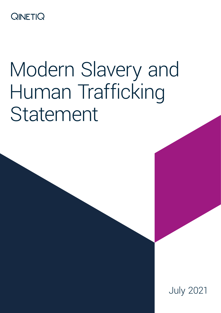# **QINETIQ**

# Modern Slavery and Human Trafficking Statement

July 2021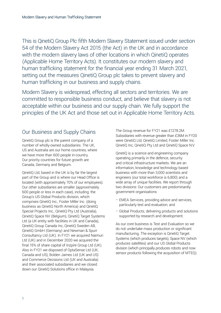This is QinetiQ Group Plc fifth Modern Slavery Statement issued under section 54 of the Modern Slavery Act 2015 (the Act) in the UK and in accordance with the modern slavery laws of other locations in which QinetiQ operates (Applicable Home Territory Acts). It constitutes our modern slavery and human trafficking statement for the financial year ending 31 March 2021, setting out the measures QinetiQ Group plc takes to prevent slavery and human trafficking in our business and supply chains.

Modern Slavery is widespread, effecting all sectors and territories. We are committed to responsible business conduct, and believe that slavery is not acceptable within our business and our supply chain. We fully support the principles of the UK Act and those set out in Applicable Home Territory Acts.

## Our Business and Supply Chains

QinetiQ Group plc is the parent company of a number of wholly-owned subsidiaries. The UK, US and Australia are our home countries, where we have more than 600 people in-country. Our priority countries for future growth are Canada, Germany and Belgium.

QinetiQ Ltd, based in the UK is by far the largest part of the Group and is where our Head Office is located (with approximately 70% of our employees). Our other subsidiaries are smaller (approximately. 600 people or less in each case), including: the Group's US Global Products division, which comprises QinetiQ Inc., Foster Miller Inc. (doing business as QinetiQ North America) and QinetiQ Special Projects Inc., QinetiQ Pty Ltd (Australia), QinetiQ Space NV (Belgium), QinetiQ Target Systems Ltd (a UK entity with facilities in UK and Canada), QinetiQ Group Canada Inc, QinetiQ Sweden AB, QinetiQ GmbH (Germany) and Newman & Spurr Consultancy Ltd (UK). In FY21 we acquired Naimuri Ltd (UK) and in December 2020 we acquired the final 15% of share capital of Inzpire Group Ltd (UK). Also in FY21 we disposed of OptaSense Ltd (UK, Canada and US), Bolden James Ltd (UK and US) and Commerce Decisions Ltd (UK and Australia) and their associated subsidiaries and we closed down our QinetiQ Solutions office in Malaysia.

The Group revenue for FY21 was £1278.2M. Subsidiaries with revenue greater than £36M in FY20 were QinetiQ Ltd, QinetiQ Limited, Foster Miller Inc. QinetiQ Inc, QinetiQ Pty Ltd and QinetiQ Space N.V.

QinetiQ is a science and engineering company operating primarily in the defence, security and critical infrastructure markets. We are an information, knowledge and technology based business with more than 3,000 scientists and engineers (our total workforce is 6,800) and a wide array of unique facilities. We report through two divisions: Our customers are predominantly government organisations

- EMEA Services, providing advice and services, particularly test and evaluation; and
- Global Products, delivering products and solutions supported by research and development.

As our core business is Test and Evaluation so we do not undertake mass production or significant manufacturing. The exception is QinetiQ Target Systems (which produces targets), Space NV (which produces satellites) and our US Global Products division (which principally produces robots and now sensor products following the acquisition of MTEQ).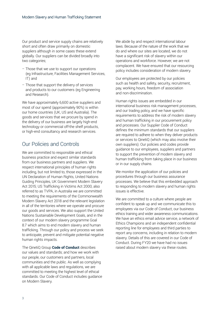Our product and service supply chains are relatively short and often draw primarily on domestic suppliers although in some cases these extend globally. Our suppliers can be divided broadly into two categories;

- Those that we use to support our operations (eg Infrastructure, Facilities Management Services, IT) and
- Those that support the delivery of services and products to our customers (eg Engineering and Research).

We have approximately 6,600 active suppliers and most of our spend (approximately 90%) is within our home countries (UK, US and Australia). The goods and services that we procure by spend in the delivery of our business are largely high-end technology or commercial off-the shelf products, or high-end consultancy and research services.

#### Our Policies and Controls

We are committed to responsible and ethical business practice and expect similar standards from our business partners and suppliers. We respect international principles of human rights including, but not limited to, those expressed in the UN Declaration of Human Rights, United Nations Guiding Principles, UK Government Modern Slavery Act 2015; US Trafficking in Victims Act 2000, also referred to as TVPA, in Australia we are committed to meeting the requirements of the Commonwealth Modern Slavery Act 2018 and the relevant legislation in all of the territories where we operate and procure our goods and services. We also support the United Nations Sustainable Development Goals, and in the context of our modern slavery programme Goal 8.7 which aims to end modern slavery and human trafficking. Through our policy and process we seek to anticipate, prevent and mitigate potential negative human rights impacts.

The QinetiQ Group **[Code of Conduct](https://www.qinetiq.com/en/our-company/sustainability/business-ethics)** describes our values and standards; and how we work with our people, our customers and partners, local communities and the public. As well as complying with all applicable laws and regulations, we are committed to meeting the highest level of ethical standards. Our Code of Conduct includes guidance on Modern Slavery.

We abide by and respect international labour laws. Because of the nature of the work that we do and where our sites are located, we do not have a significant risk of slavery within our operations and workforce. However, we are not complacent. We have ensured that our resourcing policy includes consideration of modern slavery.

Our employees are protected by our policies such as health and safety, security, recruitment, pay, working hours, freedom of association and non-discrimination.

Human rights issues are embedded in our international business risk management processes, and our trading policy, and we have specific requirements to address the risk of modern slavery and human trafficking in our procurement policy and processes. Our Supplier Code of Conduct defines the minimum standards that our suppliers are required to adhere to when they deliver products or services to QinetiQ (which may also involve their own suppliers). Our policies and codes provide guidance to our employees, suppliers and partners to support the prevention of modern slavery and human trafficking from taking place in our business or in our supply chains.

We monitor the application of our policies and procedures through our business assurance processes. We believe that this embedded approach to responding to modern slavery and human rights issues is effective.

We are committed to a culture where people are confident to speak up and we communicate this to employees via our Code of Conduct, our business ethics training and wider awareness communications. We have an ethics email advice service, a network of Ethics Champions and an independent confidential reporting line for employees and third parties to report any concerns, including in relation to modern slavery. Details of this are covered in our Code of Conduct. During FY20 we have had no issues raised about modern slavery via these routes.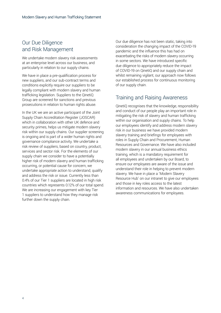## Our Due Diligence and Risk Management

We undertake modern slavery risk assessments at an enterprise level across our business, and particularly in relation to our supply chains.

We have in place a pre-qualification process for new suppliers, and our sub-contract terms and conditions explicitly require our suppliers to be legally compliant with modern slavery and human trafficking legislation. Suppliers to the QinetiQ Group are screened for sanctions and previous prosecutions in relation to human rights abuse.

In the UK we are an active participant of the Joint Supply Chain Accreditation Register (JOSCAR) which in collaboration with other UK defence and security primes, helps us mitigate modern slavery risk within our supply chains. Our supplier screening is ongoing and is part of a wider human rights and governance compliance activity. We undertake a risk review of suppliers, based on country, product, services and sector risk. For the elements of our supply chain we consider to have a potentially higher risk of modern slavery and human trafficking occurring, or potential cause for concern, we undertake appropriate action to understand, qualify and address the risk or issue. Currently less than 0.4% of our Tier 1 suppliers are located in high risk countries which represents 0.12% of our total spend. We are increasing our engagement with key Tier 1 suppliers to understand how they manage risk further down the supply chain.

Our due diligence has not been static, taking into consideration the changing impact of the COVID-19 pandemic and the influence this has had on exacerbating the risks of modern slavery occurring in some sectors. We have introduced specific due diligence to appropriately reduce the impact of COVID-19 on QinetiQ and our supply chain and whilst remaining vigilant, our approach now follows our established process for continuous monitoring of our supply chain.

## Training and Raising Awareness

QinetiQ recognises that the knowledge, responsibility and conduct of our people play an important role in mitigating the risk of slavery and human trafficking within our organisation and supply chains. To help our employees identify and address modern slavery risk in our business we have provided modern slavery training and briefings for employees with roles in Supply Chain and Procurement, Human Resources and Governance. We have also included modern slavery in our annual business ethics training, which is a mandatory requirement for all employees and undertaken by our Board, to ensure our employees are aware of the issue and understand their role in helping to prevent modern slavery. We have in place a 'Modern Slavery Resource Hub' on our intranet to give our employees and those in key roles access to the latest information and resources. We have also undertaken awareness communications for employees.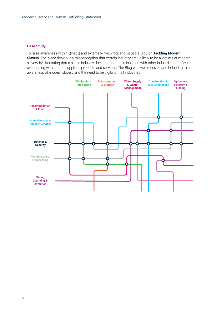#### **Case Study**

To raise awareness within QinetiQ and externally, we wrote and issued a Blog on **[Tackling Modern](https://www.qinetiq.com/en/blogs/modern-slavery)  [Slavery](https://www.qinetiq.com/en/blogs/modern-slavery)**. The piece drew out a misconception that certain industry are unlikely to be a victims of modern slavery by illustrating that a single industry does not operate in isolation with other industries but often overlapping with shared suppliers, products and services. The Blog was well received and helped to raise awareness of modern slavery and the need to be vigilant in all industries.

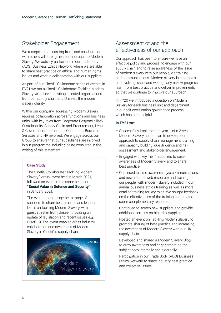## Stakeholder Engagement

We recognise that learning from, and collaboration with others will strengthen our approach to Modern Slavery. We actively participate in our trade body (ADS) Business Ethics Network, where we are able to share best practice on ethical and human rights issues and work in collaboration with our suppliers.

As part of our QinetiQ Collaborate series of events, in FY21 we ran a QinetiQ Collaborate: Tackling Modern Slavery virtual event inviting selected organisations from our supply chain and Unseen, the modern slavery charity.

Within our company, addressing Modern Slavery requires collaboration across functions and business units, with key roles from Corporate Responsibility& Sustainability, Supply Chain and Procurement, Legal & Governance, International Operations, Business Services and HR involved. We engage across our Group to ensure that our subsidiaries are involved in our programme including being consulted in the writing of this statement.

#### **Case Study**

The QinetiQ Collaborate "Tackling Modern Slavery" virtual event held in March 2021, followed an event in the same series on **"Social Value in Defence and Security"** in January 2021.

The event brought together a range of suppliers to share best practice and lessons learnt on tackling Modern Slavery, with guest speaker from Unseen providing an update of legislation and recent issues e.g. COVID19. The event enabled cross-industry collaboration and awareness of Modern Slavery in QinetiQ's supply chain.



## Assessment of and the effectiveness of our approach

Our approach has been to ensure we have an effective policy and process, to engage with our supply chain and to raise awareness of the issue of modern slavery with our people, via training and communications. Modern slavery is a complex and evolving issue, and we regularly review progress, learn from best practice and deliver improvements so that we continue to improve our approach.

In FY20 we introduced a question on Modern Slavery for each business unit and department in our self-certification governance process which has been helpful.

#### **In FY21 we:**

- Successfully implemented year 1 of a 3-year Modern Slavery action plan to develop our approach to supply chain management, training and capacity building, due diligence and risk assessment and stakeholder engagement.
- Engaged with key Tier 1 suppliers to raise awareness of Modern Slavery and to share best practice.
- Continued to raise awareness (via communications and new intranet web resource) and training for our people; with modern slavery included in our annual business ethics training as well as more detailed training for key roles. We sought feedback on the effectiveness of the training and created some complementary resources.
- Continued to screen new suppliers and provide additional scrutiny on high-risk suppliers.
- Hosted an event on Tackling Modern Slavery to promote sharing of best practice and increasing the awareness of Modern Slavery with our UK supply chain.
- Developed and shared a Modern Slavery Blog to draw awareness and engagement on the subject both internally and externally.
- Participation in our Trade Body (ADS) Business Ethics Network to share industry best practice and collective issues.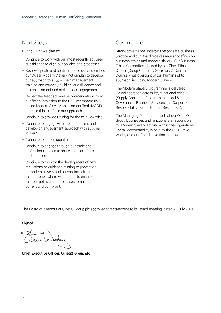#### Next Steps

During FY22 we plan to:

- Continue to work with our most recently acquired subsidiaries to align our policies and processes.
- Review, update and continue to roll out and embed our 3-year Modern Slavery Action plan to develop our approach to supply chain management, training and capacity building, due diligence and risk assessment and stakeholder engagement.
- Review the feedback and recommendations from our first submission to the UK Government risk based Modern Slavery Assessment Tool (MSAT) and use this to inform our approach.
- Continue to provide training for those in key roles.
- Continue to engage with Tier 1 suppliers and develop an engagement approach with supplier in Tier 2.
- Continue to screen suppliers.
- Continue to engage through our trade and professional bodies to share and learn from best practice.
- Continue to monitor the development of new regulations or guidance relating to prevention of modern slavery and human trafficking in the territories where we operate, to ensure that our policies and processes remain current and compliant.

#### Governance

Strong governance underpins responsible business practice and our Board receives regular briefings on business ethics and modern slavery. Our Business Ethics Committee, chaired by our Chief Ethics Officer (Group Company Secretary & General Counsel) has oversight of our human rights approach, including Modern Slavery.

The Modern Slavery programme is delivered via collaboration across key functional roles, (Supply Chain and Procurement, Legal & Governance, Business Services and Corporate Responsibility teams, Human Resources,).

The Managing Directors of each of our QinetiQ Group businesses and functions are responsible for Modern Slavery activity within their operations. Overall accountability is held by the CEO, Steve Wadey and our Board have final approval.

The Board of directors of QinetiQ Group plc approved this statement at its Board meeting, dated 21 July 2021.

**Signed:** 

**Chief Executive Officer, QinetiQ Group plc**